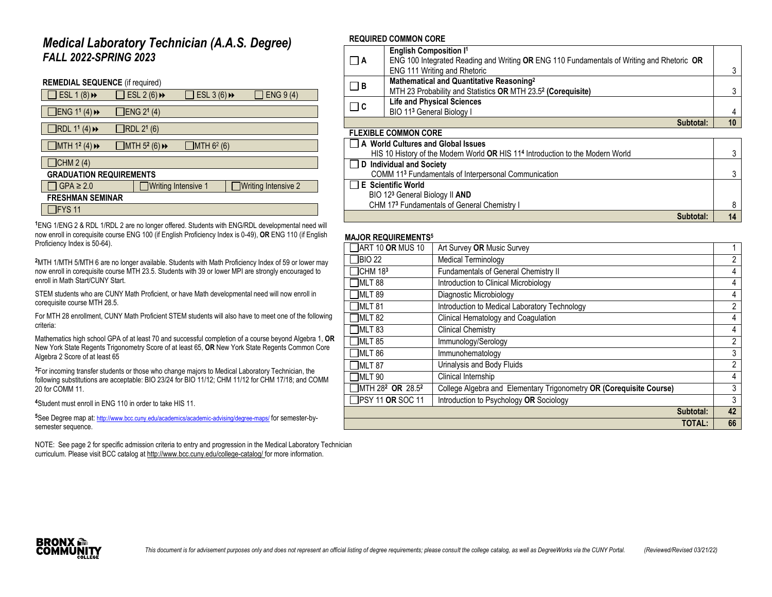## *Medical Laboratory Technician (A.A.S. Degree) FALL 2022-SPRING 2023*

#### **REMEDIAL SEQUENCE** (if required)

| $\overline{\phantom{a}}$ ESL 1 (8) $\rightarrow$ | $\Box$ ESL 2 (6) $\leftrightarrow$          | $\Box$ ESL 3 (6) $\leftrightarrow$ |  | $\Box$ ENG 9 (4)           |  |
|--------------------------------------------------|---------------------------------------------|------------------------------------|--|----------------------------|--|
| $\Box$ ENG 1 <sup>1</sup> (4) $\rightarrow$      | $\Box$ ENG 2 <sup>1</sup> (4)               |                                    |  |                            |  |
| $\Box$ RDL 1 <sup>1</sup> (4) $\rightarrow$      | RDL 2 <sup>1</sup> (6)                      |                                    |  |                            |  |
| $\Box$ MTH 1 <sup>2</sup> (4) $\rightarrow$      | $\Box$ MTH 5 <sup>2</sup> (6) $\rightarrow$ | MTH 6 <sup>2</sup> (6)             |  |                            |  |
| $\Box$ CHM 2 (4)                                 |                                             |                                    |  |                            |  |
| <b>GRADUATION REQUIREMENTS</b>                   |                                             |                                    |  |                            |  |
| $GPA \geq 2.0$                                   |                                             | <b>Writing Intensive 1</b>         |  | $\Box$ Writing Intensive 2 |  |
| <b>FRESHMAN SEMINAR</b>                          |                                             |                                    |  |                            |  |
| <b>FYS 11</b>                                    |                                             |                                    |  |                            |  |

**<sup>1</sup>**ENG 1/ENG 2 & RDL 1/RDL 2 are no longer offered. Students with ENG/RDL developmental need will now enroll in corequisite course ENG 100 (if English Proficiency Index is 0-49), **OR** ENG 110 (if English Proficiency Index is 50-64).

**<sup>2</sup>**MTH 1/MTH 5/MTH 6 are no longer available. Students with Math Proficiency Index of 59 or lower may now enroll in corequisite course MTH 23.5. Students with 39 or lower MPI are strongly encouraged to enroll in Math Start/CUNY Start.

STEM students who are CUNY Math Proficient, or have Math developmental need will now enroll in corequisite course MTH 28.5.

For MTH 28 enrollment, CUNY Math Proficient STEM students will also have to meet one of the following criteria:

Mathematics high school GPA of at least 70 and successful completion of a course beyond Algebra 1, **OR** New York State Regents Trigonometry Score of at least 65, **OR** New York State Regents Common Core Algebra 2 Score of at least 65

<sup>3</sup>For incoming transfer students or those who change majors to Medical Laboratory Technician, the following substitutions are acceptable: BIO 23/24 for BIO 11/12; CHM 11/12 for CHM 17/18; and COMM 20 for COMM 11.

**<sup>4</sup>**Student must enroll in ENG 110 in order to take HIS 11.

**<sup>5</sup>**See Degree map at: <http://www.bcc.cuny.edu/academics/academic-advising/degree-maps/> for semester-bysemester sequence.

NOTE: See page 2 for specific admission criteria to entry and progression in the Medical Laboratory Technician curriculum. Please visit BCC catalog at <http://www.bcc.cuny.edu/college-catalog/> for more information.

#### **REQUIRED COMMON CORE**

| $\Box$ A                    | <b>English Composition I<sup>1</sup></b><br>ENG 100 Integrated Reading and Writing OR ENG 110 Fundamentals of Writing and Rhetoric OR |    |  |  |
|-----------------------------|---------------------------------------------------------------------------------------------------------------------------------------|----|--|--|
|                             | <b>ENG 111 Writing and Rhetoric</b>                                                                                                   |    |  |  |
| $\Box$ B                    | Mathematical and Quantitative Reasoning <sup>2</sup>                                                                                  |    |  |  |
|                             | MTH 23 Probability and Statistics OR MTH 23.5 <sup>2</sup> (Corequisite)                                                              |    |  |  |
| $\Box$ c                    | <b>Life and Physical Sciences</b>                                                                                                     |    |  |  |
|                             | BIO 11 <sup>3</sup> General Biology I                                                                                                 |    |  |  |
|                             | Subtotal:                                                                                                                             | 10 |  |  |
| <b>FLEXIBLE COMMON CORE</b> |                                                                                                                                       |    |  |  |
| —                           |                                                                                                                                       |    |  |  |

| A World Cultures and Global Issues                                             |    |
|--------------------------------------------------------------------------------|----|
| HIS 10 History of the Modern World OR HIS 114 Introduction to the Modern World |    |
| D Individual and Society                                                       |    |
| COMM 113 Fundamentals of Interpersonal Communication                           |    |
| $\Box$ E Scientific World                                                      |    |
| BIO 123 General Biology II AND                                                 |    |
| CHM 173 Fundamentals of General Chemistry I                                    |    |
| Subtotal:                                                                      | 14 |

#### **MAJOR REQUIREMENTS**

| $\overline{\rm \,}$ ART 10 <b>OR</b> MUS 10 | Art Survey OR Music Survey                                          |                |
|---------------------------------------------|---------------------------------------------------------------------|----------------|
| <b>BIO 22</b>                               | <b>Medical Terminology</b>                                          | $\overline{2}$ |
| $\Box$ CHM 18 <sup>3</sup>                  | Fundamentals of General Chemistry II                                | 4              |
| MLT 88                                      | Introduction to Clinical Microbiology                               | 4              |
| <b>IMLT 89</b>                              | Diagnostic Microbiology                                             | 4              |
| <b>IMLT 81</b>                              | Introduction to Medical Laboratory Technology                       | $\overline{2}$ |
| MLT <sub>82</sub>                           | Clinical Hematology and Coagulation                                 | 4              |
| MLT <sub>83</sub>                           | <b>Clinical Chemistry</b>                                           | 4              |
| MLT 85                                      | Immunology/Serology                                                 | $\overline{2}$ |
| MLT 86                                      | Immunohematology                                                    | 3              |
| <b>IMLT 87</b>                              | Urinalysis and Body Fluids                                          | $\overline{2}$ |
| TMLT 90                                     | Clinical Internship                                                 | 4              |
| MTH 28 <sup>2</sup> OR 28.5 <sup>2</sup>    | College Algebra and Elementary Trigonometry OR (Corequisite Course) | 3              |
| <b>TPSY 11 OR SOC 11</b>                    | Introduction to Psychology OR Sociology                             | 3              |
|                                             | Subtotal:                                                           | 42             |
|                                             | <b>TOTAL:</b>                                                       | 66             |